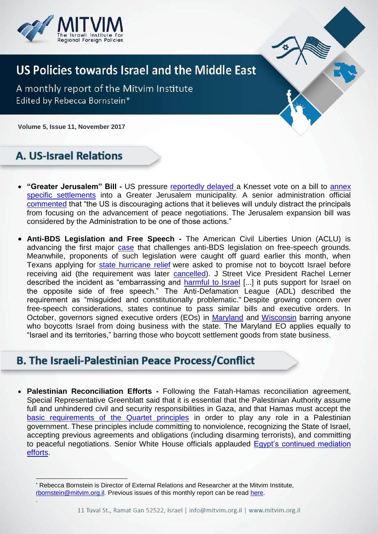

## **US Policies towards Israel and the Middle East**

A monthly report of the Mitvim Institute Edited by Rebecca Bornstein\*

**Volume 5, Issue 11, November 2017** 1

### **A. US-Israel Relations**

.

 $\overline{a}$ 

- **"Greater Jerusalem" Bill -** US pressure [reportedly delayed a](http://www.reuters.com/article/us-israel-palestinians-settlement/u-s-pressure-delays-israels-greater-jerusalem-bill-legislator-idUSKBN1CY0CB?il=0) Knesset vote on a bill to [annex](https://www.al-monitor.com/pulse/originals/2017/10/israel-palestine-trump-abbas-netanyahu-great-jerusalem-bill.html)  [specific settlements](https://www.al-monitor.com/pulse/originals/2017/10/israel-palestine-trump-abbas-netanyahu-great-jerusalem-bill.html) into a Greater Jerusalem municipality. A senior administration official [commented](http://www.jpost.com/American-Politics/US-discouraging-Greater-Jerusalem-bill-senior-official-say-509736) that "the US is discouraging actions that it believes will unduly distract the principals from focusing on the advancement of peace negotiations. The Jerusalem expansion bill was considered by the Administration to be one of those actions."
- **Anti-BDS Legislation and Free Speech -** The American Civil Liberties Union (ACLU) is advancing the first major [case](https://www.aclu.org/news/aclu-free-speech-case-challenges-law-aimed-anti-israel-boycotts) that challenges anti-BDS legislation on free-speech grounds. Meanwhile, proponents of such legislation were caught off guard earlier this month, when Texans applying for [state hurricane relief](https://www.haaretz.com/us-news/.premium-1.818459) were asked to promise not to boycott Israel before receiving aid (the requirement was later [cancelled\)](https://www.haaretz.com/us-news/1.819355). J Street Vice President Rachel Lerner described the incident as "embarrassing and [harmful to Israel](https://www.haaretz.com/us-news/.premium-1.818459) [...] it puts support for Israel on the opposite side of free speech." The Anti-Defamation League (ADL) described the requirement as "misguided and constitutionally problematic." Despite growing concern over free-speech considerations, states continue to pass similar bills and executive orders. In October, governors signed executive orders (EOs) in [Maryland](https://content.govdelivery.com/attachments/MDGOV/2017/10/23/file_attachments/900819/Executive%2BOrder%2B01.01.2017.25.pdf) and [Wisconsin](https://walker.wi.gov/sites/default/files/executive-orders/EO%20%23261_0.pdf) barring anyone who boycotts Israel from doing business with the state. The Maryland EO applies equally to "Israel and its territories," barring those who boycott settlement goods from state business.

#### **B. The Israeli-Palestinian Peace Process/Conflict**

 **Palestinian Reconciliation Efforts -** Following the Fatah-Hamas reconciliation agreement, Special Representative Greenblatt said that it is essential that the Palestinian Authority assume full and unhindered civil and security responsibilities in Gaza, and that Hamas must accept the [basic requirements of](https://il.usembassy.gov/statement-special-representative-international-negotiations-jason-greenblatt-hamas-fatah-reconciliation-efforts/) the Quartet principles in order to play any role in a Palestinian government. These principles include committing to nonviolence, recognizing the State of Israel, accepting previous agreements and obligations (including disarming terrorists), and committing to peaceful negotiations. Senior White House officials applauded [Egypt's continued mediation](https://www.haaretz.com/us-news/.premium-1.818435)  [efforts.](https://www.haaretz.com/us-news/.premium-1.818435)

Rebecca Bornstein is Director of External Relations and Researcher at the Mitvim Institute, [rbornstein@mitvim.org.il.](mailto:rbornstein@mitvim.org.il) Previous issues of this monthly report can be read [here.](http://mitvim.org.il/publications/us-policies-towards-israel-and-the-middle-east)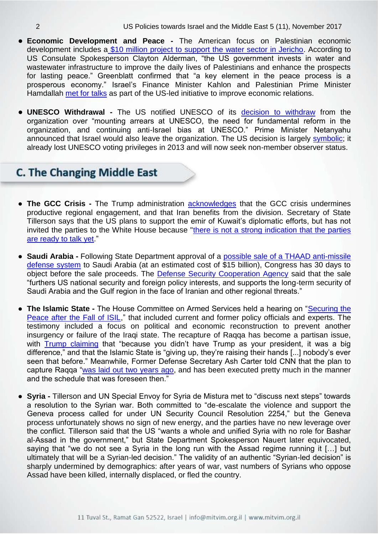- **Economic Development and Peace -** The American focus on Palestinian economic development includes a [\\$10 million project to support the water sector in Jericho.](http://www.al-monitor.com/pulse/originals/2017/10/palestine-us-project-water-farmers.html#ixzz4xgEQ2LoF) According to US Consulate Spokesperson Clayton Alderman, "the US government invests in water and wastewater infrastructure to improve the daily lives of Palestinians and enhance the prospects for lasting peace." Greenblatt confirmed that "a key element in the peace process is a prosperous economy." Israel's Finance Minister Kahlon and Palestinian Prime Minister Hamdallah [met for talks](https://www.i24news.tv/en/news/israel/diplomacy-defense/158974-171030-israeli-palestinian-delegations-hold-economic-talks-as-part-of-us-peace-push) as part of the US-led initiative to improve economic relations.
- **UNESCO Withdrawal -** The US notified UNESCO of its [decision to withdraw](https://www.state.gov/r/pa/prs/ps/2017/10/274748.htm) from the organization over "mounting arrears at UNESCO, the need for fundamental reform in the organization, and continuing anti-Israel bias at UNESCO." Prime Minister Netanyahu announced that Israel would also leave the organization. The US decision is largely [symbolic;](https://www.vox.com/world/2017/10/12/16464778/unesco-us-withdrawal-trump) it already lost UNESCO voting privileges in 2013 and will now seek non-member observer status.

#### **C. The Changing Middle East**

- **The GCC Crisis -** The Trump administration [acknowledges](https://www.state.gov/secretary/remarks/2017/10/274999.htm) that the GCC crisis undermines productive regional engagement, and that Iran benefits from the division. Secretary of State Tillerson says that the US plans to support the emir of Kuwait's diplomatic efforts, but has not invited the parties to the White House because ["there is not a strong indication that the parties](https://www.state.gov/secretary/remarks/2017/10/274999.htm)  [are ready to talk yet.](https://www.state.gov/secretary/remarks/2017/10/274999.htm)"
- **Saudi Arabia -** Following State Department approval of a [possible sale of a THAAD anti-missile](https://www.haaretz.com/us-news/1.815990)  [defense system](https://www.haaretz.com/us-news/1.815990) to Saudi Arabia (at an estimated cost of \$15 billion), Congress has 30 days to object before the sale proceeds. The [Defense Security Cooperation Agency](http://www.dsca.mil/sites/default/files/mas/saudi_arabia_17-28.pdf) said that the sale "furthers US national security and foreign policy interests, and supports the long-term security of Saudi Arabia and the Gulf region in the face of Iranian and other regional threats."
- **The Islamic State -** The House Committee on Armed Services held a hearing on ["Securing the](https://armedservices.house.gov/legislation/hearings/securing-peace-after-fall-isil)  [Peace after the Fall of ISIL,](https://armedservices.house.gov/legislation/hearings/securing-peace-after-fall-isil)" that included current and former policy officials and experts. The testimony included a focus on political and economic reconstruction to prevent another insurgency or failure of the Iraqi state. The recapture of Raqqa has become a partisan issue, with [Trump claiming](https://www.politico.com/story/2017/10/21/trump-isis-raqqa-islamic-state-244023) that "because you didn't have Trump as your president, it was a big difference," and that the Islamic State is "giving up, they're raising their hands [...] nobody's ever seen that before." Meanwhile, Former Defense Secretary Ash Carter told CNN that the plan to capture Raqqa ["was laid out two years ago,](https://www.politico.com/story/2017/10/21/trump-isis-raqqa-islamic-state-244023) and has been executed pretty much in the manner and the schedule that was foreseen then."
- **Syria -** Tillerson and UN Special Envoy for Syria de Mistura met to "discuss next steps" towards a resolution to the Syrian war. Both committed to "de-escalate the violence and support the Geneva process called for under UN Security Council Resolution 2254," but the Geneva process unfortunately shows no sign of new energy, and the parties have no new leverage over the conflict. Tillerson said that the US "wants a whole and unified Syria with no role for Bashar al-Assad in the government," but State Department Spokesperson Nauert later equivocated, saying that "we do not see a Syria in the long run with the Assad regime running it […] but ultimately that will be a Syrian-led decision." The validity of an authentic "Syrian-led decision" is sharply undermined by demographics: after years of war, vast numbers of Syrians who oppose Assad have been killed, internally displaced, or fled the country.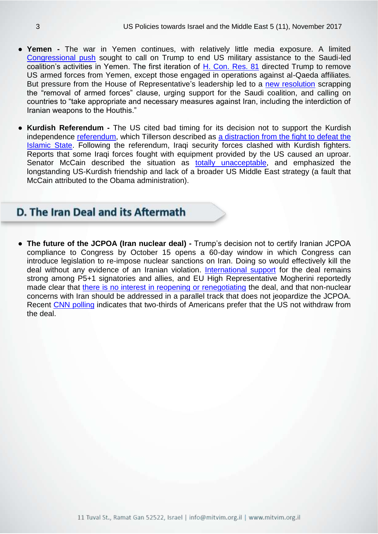- **Yemen -** The war in Yemen continues, with relatively little media exposure. A limited [Congressional push](https://theintercept.com/2017/10/31/yemen-war-us-military-house-resolution/) sought to call on Trump to end US military assistance to the Saudi-led coalition's activities in Yemen. The first iteration of H. [Con.](https://www.congress.gov/bill/115th-congress/house-concurrent-resolution/81?q=%7B%22search%22%3A%5B%22h+con+res+81%22%5D%7D&r=1) Res. 81 directed Trump to remove US armed forces from Yemen, except those engaged in operations against al-Qaeda affiliates. But pressure from the House of Representative's leadership led to a [new resolution](https://www.al-monitor.com/pulse/originals/2017/11/congress-house-leaders-water-down-bill-war-yemen-saudi.html#ixzz4xfMS3ZWJ) scrapping the "removal of armed forces" clause, urging support for the Saudi coalition, and calling on countries to "take appropriate and necessary measures against Iran, including the interdiction of Iranian weapons to the Houthis."
- **Kurdish Referendum -** The US cited bad timing for its decision not to support the Kurdish independence [referendum,](https://www.foreignaffairs.com/articles/middle-east/2017-10-02/after-kurdish-independence-referendum) which Tillerson described as [a distraction from the fight to defeat the](https://www.state.gov/secretary/remarks/2017/10/274999.htm)  [Islamic State.](https://www.state.gov/secretary/remarks/2017/10/274999.htm) Following the referendum, Iraqi security forces clashed with Kurdish fighters. Reports that some Iraqi forces fought with equipment provided by the US caused an uproar. Senator McCain described the situation as [totally unacceptable,](https://www.nytimes.com/2017/10/24/opinion/john-mccain-kurds-iraq.html?smid=tw-share&_r=0) and emphasized the longstanding US-Kurdish friendship and lack of a broader US Middle East strategy (a fault that McCain attributed to the Obama administration).

#### D. The Iran Deal and its Aftermath

● **The future of the JCPOA (Iran nuclear deal) -** Trump's decision not to certify Iranian JCPOA compliance to Congress by October 15 opens a 60-day window in which Congress can introduce legislation to re-impose nuclear sanctions on Iran. Doing so would effectively kill the deal without any evidence of an Iranian violation. [International support](https://www.armscontrol.org/blog/2017-10-25/international-support-iran-nuclear-deal) for the deal remains strong among P5+1 signatories and allies, and EU High Representative Mogherini reportedly made clear that [there is no interest in reopening or renegotiating](https://www.armscontrol.org/act/2017-11/news/trump-sets-us-up-violate-iran-deal) the deal, and that non-nuclear concerns with Iran should be addressed in a parallel track that does not jeopardize the JCPOA. Recent [CNN polling](http://edition.cnn.com/2017/10/20/politics/poll-trump-iran-deal-north-korea/index.html) indicates that two-thirds of Americans prefer that the US not withdraw from the deal.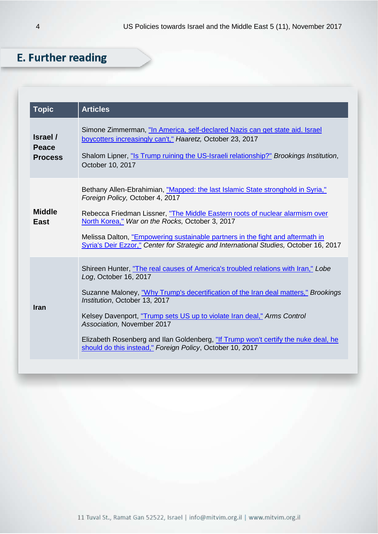## **E. Further reading**

| <b>Topic</b>                               | <b>Articles</b>                                                                                                                                                                                                                                                                                                                                                                                                                                                                               |
|--------------------------------------------|-----------------------------------------------------------------------------------------------------------------------------------------------------------------------------------------------------------------------------------------------------------------------------------------------------------------------------------------------------------------------------------------------------------------------------------------------------------------------------------------------|
| Israel /<br><b>Peace</b><br><b>Process</b> | Simone Zimmerman, "In America, self-declared Nazis can get state aid. Israel<br>boycotters increasingly can't," Haaretz, October 23, 2017<br>Shalom Lipner, "Is Trump ruining the US-Israeli relationship?" Brookings Institution,<br>October 10, 2017                                                                                                                                                                                                                                        |
| <b>Middle</b><br><b>East</b>               | Bethany Allen-Ebrahimian, "Mapped: the last Islamic State stronghold in Syria,"<br>Foreign Policy, October 4, 2017<br>Rebecca Friedman Lissner, "The Middle Eastern roots of nuclear alarmism over<br>North Korea," War on the Rocks, October 3, 2017<br>Melissa Dalton, "Empowering sustainable partners in the fight and aftermath in<br>Syria's Deir Ezzor," Center for Strategic and International Studies, October 16, 2017                                                              |
| <b>Iran</b>                                | Shireen Hunter, "The real causes of America's troubled relations with Iran," Lobe<br>Log, October 16, 2017<br>Suzanne Maloney, "Why Trump's decertification of the Iran deal matters," Brookings<br>Institution, October 13, 2017<br>Kelsey Davenport, "Trump sets US up to violate Iran deal," Arms Control<br>Association, November 2017<br>Elizabeth Rosenberg and Ilan Goldenberg, "If Trump won't certify the nuke deal, he<br>should do this instead," Foreign Policy, October 10, 2017 |